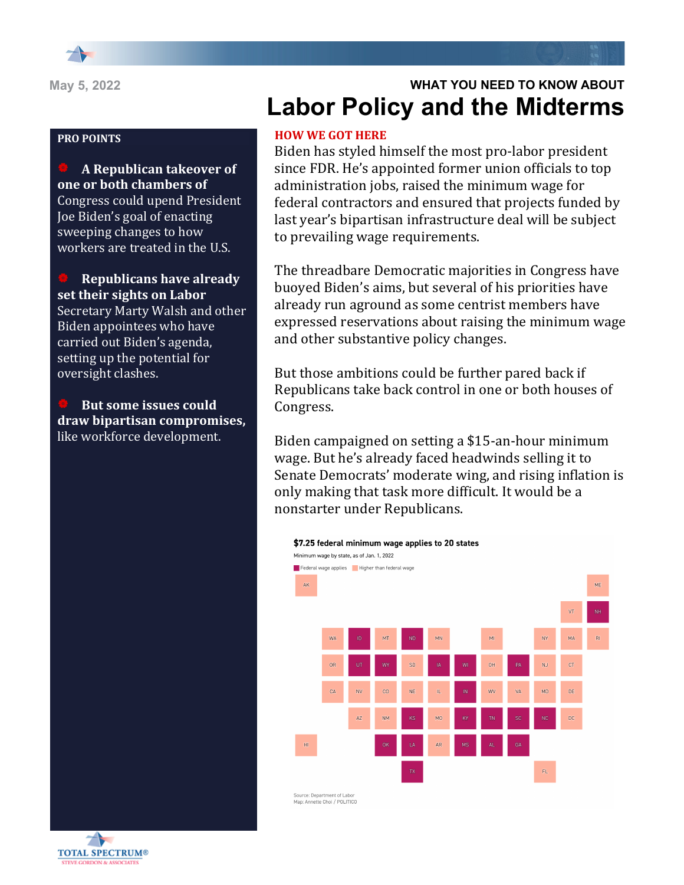

### **PRO POINTS**

| **A Republican takeover of**  one or both chambers of Congress could upend President Joe Biden's goal of enacting sweeping changes to how workers are treated in the U.S.

**Republicans have already** set their sights on Labor Secretary Marty Walsh and other Biden appointees who have carried out Biden's agenda, setting up the potential for oversight clashes.

**But some issues could draw bipartisan compromises,**  like workforce development.

# **WHAT YOU NEED TO KNOW ABOUT Labor Policy and the Midterms**

# **HOW WE GOT HERE**

Biden has styled himself the most pro-labor president since FDR. He's appointed former union officials to top administration jobs, raised the minimum wage for federal contractors and ensured that projects funded by last year's bipartisan infrastructure deal will be subject to prevailing wage requirements.

The threadbare Democratic majorities in Congress have buoyed Biden's aims, but several of his priorities have already run aground as some centrist members have expressed reservations about raising the minimum wage and other substantive policy changes.

But those ambitions could be further pared back if Republicans take back control in one or both houses of Congress.

Biden campaigned on setting a \$15-an-hour minimum wage. But he's already faced headwinds selling it to Senate Democrats' moderate wing, and rising inflation is only making that task more difficult. It would be a nonstarter under Republicans.



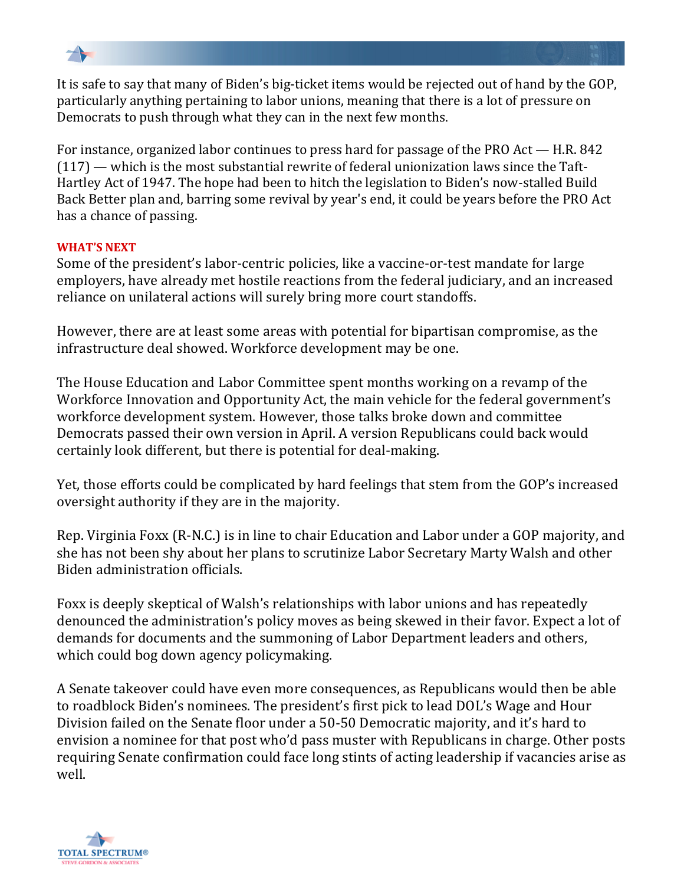

It is safe to say that many of Biden's big-ticket items would be rejected out of hand by the GOP, particularly anything pertaining to labor unions, meaning that there is a lot of pressure on Democrats to push through what they can in the next few months.

For instance, organized labor continues to press hard for passage of the PRO Act  $-$  H.R. 842  $(117)$  — which is the most substantial rewrite of federal unionization laws since the Taft-Hartley Act of 1947. The hope had been to hitch the legislation to Biden's now-stalled Build Back Better plan and, barring some revival by year's end, it could be years before the PRO Act has a chance of passing.

## **WHAT'S NEXT**

Some of the president's labor-centric policies, like a vaccine-or-test mandate for large employers, have already met hostile reactions from the federal judiciary, and an increased reliance on unilateral actions will surely bring more court standoffs.

However, there are at least some areas with potential for bipartisan compromise, as the infrastructure deal showed. Workforce development may be one.

The House Education and Labor Committee spent months working on a revamp of the Workforce Innovation and Opportunity Act, the main vehicle for the federal government's workforce development system. However, those talks broke down and committee Democrats passed their own version in April. A version Republicans could back would certainly look different, but there is potential for deal-making.

Yet, those efforts could be complicated by hard feelings that stem from the GOP's increased oversight authority if they are in the majority.

Rep. Virginia Foxx (R-N.C.) is in line to chair Education and Labor under a GOP majority, and she has not been shy about her plans to scrutinize Labor Secretary Marty Walsh and other Biden administration officials.

Foxx is deeply skeptical of Walsh's relationships with labor unions and has repeatedly denounced the administration's policy moves as being skewed in their favor. Expect a lot of demands for documents and the summoning of Labor Department leaders and others, which could bog down agency policymaking.

A Senate takeover could have even more consequences, as Republicans would then be able to roadblock Biden's nominees. The president's first pick to lead DOL's Wage and Hour Division failed on the Senate floor under a 50-50 Democratic majority, and it's hard to envision a nominee for that post who'd pass muster with Republicans in charge. Other posts requiring Senate confirmation could face long stints of acting leadership if vacancies arise as well.